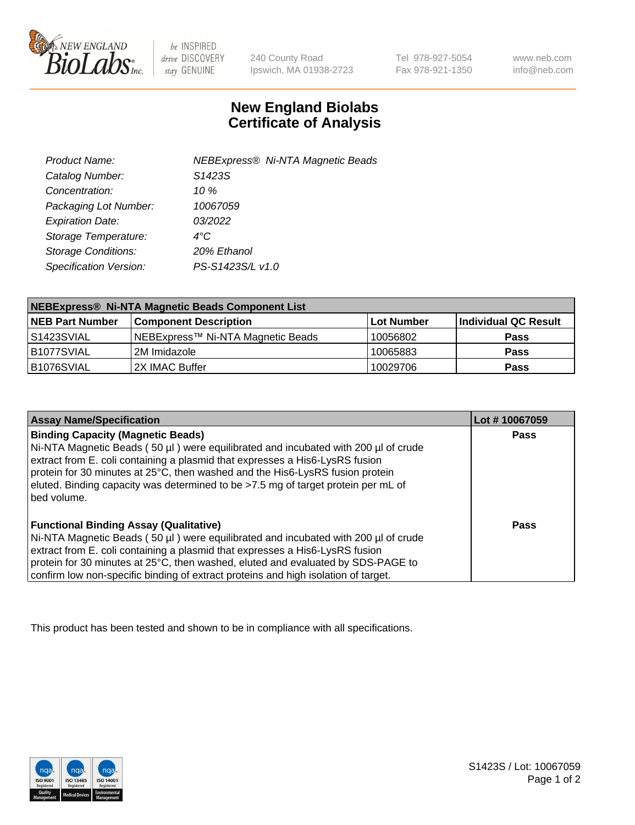

be INSPIRED drive DISCOVERY stay GENUINE

240 County Road Ipswich, MA 01938-2723 Tel 978-927-5054 Fax 978-921-1350

www.neb.com info@neb.com

## **New England Biolabs Certificate of Analysis**

| Product Name:              | <b>NEBExpress® Ni-NTA Magnetic Beads</b> |
|----------------------------|------------------------------------------|
| Catalog Number:            | S1423S                                   |
| Concentration:             | 10 $%$                                   |
| Packaging Lot Number:      | 10067059                                 |
| <b>Expiration Date:</b>    | 03/2022                                  |
| Storage Temperature:       | 4°C                                      |
| <b>Storage Conditions:</b> | 20% Ethanol                              |
| Specification Version:     | PS-S1423S/L v1.0                         |
|                            |                                          |

| NEBExpress® Ni-NTA Magnetic Beads Component List |                                   |            |                      |  |
|--------------------------------------------------|-----------------------------------|------------|----------------------|--|
| <b>NEB Part Number</b>                           | <b>Component Description</b>      | Lot Number | Individual QC Result |  |
| l S1423SVIAL                                     | NEBExpress™ Ni-NTA Magnetic Beads | 10056802   | <b>Pass</b>          |  |
| B1077SVIAL                                       | l 2M Imidazole.                   | 10065883   | <b>Pass</b>          |  |
| B1076SVIAL                                       | 2X IMAC Buffer                    | 10029706   | <b>Pass</b>          |  |

| <b>Assay Name/Specification</b>                                                                                                                                                                                                                                                                                                                                                                     | Lot #10067059 |
|-----------------------------------------------------------------------------------------------------------------------------------------------------------------------------------------------------------------------------------------------------------------------------------------------------------------------------------------------------------------------------------------------------|---------------|
| <b>Binding Capacity (Magnetic Beads)</b><br>Ni-NTA Magnetic Beads (50 µl) were equilibrated and incubated with 200 µl of crude<br>extract from E. coli containing a plasmid that expresses a His6-LysRS fusion<br>protein for 30 minutes at 25°C, then washed and the His6-LysRS fusion protein<br>eluted. Binding capacity was determined to be >7.5 mg of target protein per mL of<br>bed volume. | <b>Pass</b>   |
| <b>Functional Binding Assay (Qualitative)</b><br>Ni-NTA Magnetic Beads (50 µl) were equilibrated and incubated with 200 µl of crude<br>extract from E. coli containing a plasmid that expresses a His6-LysRS fusion<br>protein for 30 minutes at 25°C, then washed, eluted and evaluated by SDS-PAGE to<br>confirm low non-specific binding of extract proteins and high isolation of target.       | Pass          |

This product has been tested and shown to be in compliance with all specifications.